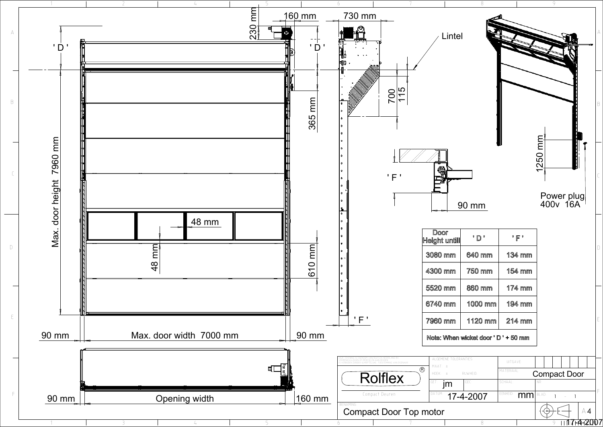